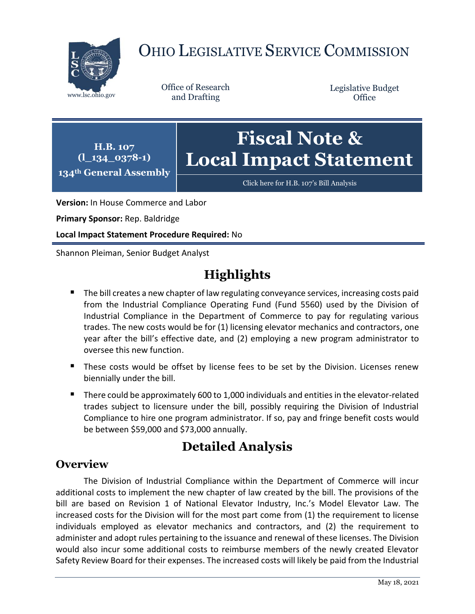

# OHIO LEGISLATIVE SERVICE COMMISSION

Office of Research

Legislative Budget **Office** 

**(l\_134\_0378-1) 134th General Assembly Fiscal Note & Local Impact Statement**

[Click here for H.B. 107](https://www.legislature.ohio.gov/legislation/legislation-documents?id=GA134-HB-107)'s Bill Analysis

**Version:** In House Commerce and Labor

**Primary Sponsor:** Rep. Baldridge

**H.B. 107** 

**Local Impact Statement Procedure Required:** No

Shannon Pleiman, Senior Budget Analyst

## **Highlights**

- The bill creates a new chapter of law regulating conveyance services, increasing costs paid from the Industrial Compliance Operating Fund (Fund 5560) used by the Division of Industrial Compliance in the Department of Commerce to pay for regulating various trades. The new costs would be for (1) licensing elevator mechanics and contractors, one year after the bill's effective date, and (2) employing a new program administrator to oversee this new function.
- These costs would be offset by license fees to be set by the Division. Licenses renew biennially under the bill.
- There could be approximately 600 to 1,000 individuals and entities in the elevator-related trades subject to licensure under the bill, possibly requiring the Division of Industrial Compliance to hire one program administrator. If so, pay and fringe benefit costs would be between \$59,000 and \$73,000 annually.

### **Detailed Analysis**

#### **Overview**

The Division of Industrial Compliance within the Department of Commerce will incur additional costs to implement the new chapter of law created by the bill. The provisions of the bill are based on Revision 1 of National Elevator Industry, Inc.'s Model Elevator Law. The increased costs for the Division will for the most part come from (1) the requirement to license individuals employed as elevator mechanics and contractors, and (2) the requirement to administer and adopt rules pertaining to the issuance and renewal of these licenses. The Division would also incur some additional costs to reimburse members of the newly created Elevator Safety Review Board for their expenses. The increased costs will likely be paid from the Industrial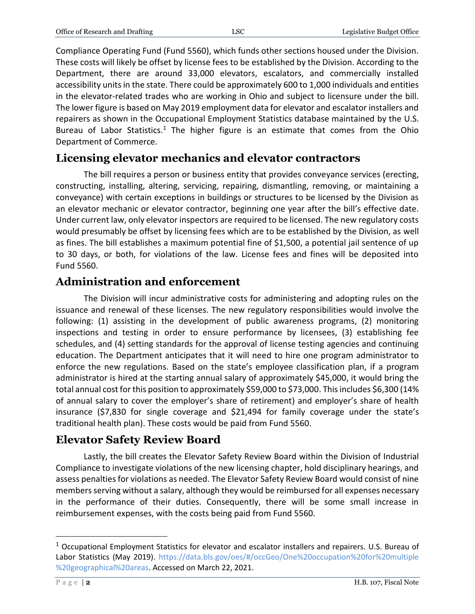Compliance Operating Fund (Fund 5560), which funds other sections housed under the Division. These costs will likely be offset by license fees to be established by the Division. According to the Department, there are around 33,000 elevators, escalators, and commercially installed accessibility units in the state. There could be approximately 600 to 1,000 individuals and entities in the elevator-related trades who are working in Ohio and subject to licensure under the bill. The lower figure is based on May 2019 employment data for elevator and escalator installers and repairers as shown in the Occupational Employment Statistics database maintained by the U.S. Bureau of Labor Statistics.<sup>1</sup> The higher figure is an estimate that comes from the Ohio Department of Commerce.

### **Licensing elevator mechanics and elevator contractors**

The bill requires a person or business entity that provides conveyance services (erecting, constructing, installing, altering, servicing, repairing, dismantling, removing, or maintaining a conveyance) with certain exceptions in buildings or structures to be licensed by the Division as an elevator mechanic or elevator contractor, beginning one year after the bill's effective date. Under current law, only elevator inspectors are required to be licensed. The new regulatory costs would presumably be offset by licensing fees which are to be established by the Division, as well as fines. The bill establishes a maximum potential fine of \$1,500, a potential jail sentence of up to 30 days, or both, for violations of the law. License fees and fines will be deposited into Fund 5560.

#### **Administration and enforcement**

The Division will incur administrative costs for administering and adopting rules on the issuance and renewal of these licenses. The new regulatory responsibilities would involve the following: (1) assisting in the development of public awareness programs, (2) monitoring inspections and testing in order to ensure performance by licensees, (3) establishing fee schedules, and (4) setting standards for the approval of license testing agencies and continuing education. The Department anticipates that it will need to hire one program administrator to enforce the new regulations. Based on the state's employee classification plan, if a program administrator is hired at the starting annual salary of approximately \$45,000, it would bring the total annual cost for this position to approximately \$59,000 to \$73,000. This includes \$6,300 (14% of annual salary to cover the employer's share of retirement) and employer's share of health insurance (\$7,830 for single coverage and \$21,494 for family coverage under the state's traditional health plan). These costs would be paid from Fund 5560.

### **Elevator Safety Review Board**

Lastly, the bill creates the Elevator Safety Review Board within the Division of Industrial Compliance to investigate violations of the new licensing chapter, hold disciplinary hearings, and assess penalties for violations as needed. The Elevator Safety Review Board would consist of nine members serving without a salary, although they would be reimbursed for all expenses necessary in the performance of their duties. Consequently, there will be some small increase in reimbursement expenses, with the costs being paid from Fund 5560.

 $\overline{\phantom{a}}$ 

<sup>1</sup> Occupational Employment Statistics for elevator and escalator installers and repairers. U.S. Bureau of Labor Statistics (May 2019). [https://data.bls.gov/oes/#/occGeo/One%20occupation%20for%20multiple](https://data.bls.gov/oes/#/occGeo/One%20occupation%20for%20multiple%20geographical%20areas) [%20geographical%20areas.](https://data.bls.gov/oes/#/occGeo/One%20occupation%20for%20multiple%20geographical%20areas) Accessed on March 22, 2021.